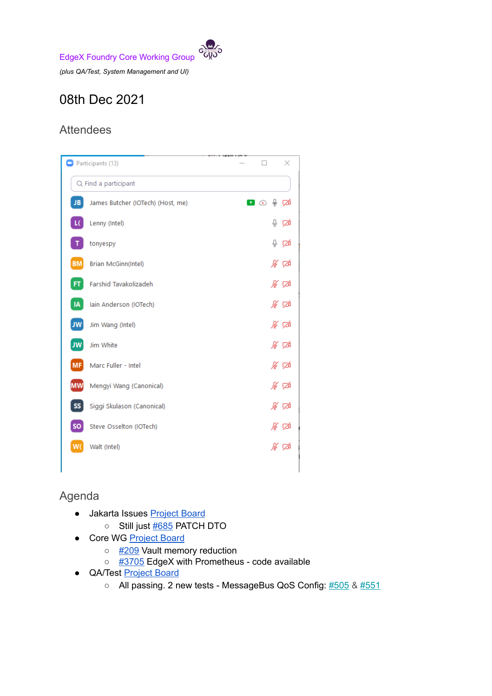

*(plus QA/Test, System Management and UI)*

## 08th Dec 2021

## **Attendees**

| Participants (13)    |                                   |  | ×                      |      |
|----------------------|-----------------------------------|--|------------------------|------|
| Q Find a participant |                                   |  |                        |      |
| JB                   | James Butcher (IOTech) (Host, me) |  | ⊕<br>$\bullet$ $\circ$ | ∞    |
| L(                   | Lenny (Intel)                     |  | ⊕                      | ∞    |
|                      | tonyespy                          |  | ⇩                      | ∞    |
| <b>BM</b>            | Brian McGinn(Intel)               |  |                        | ∦ ⊄  |
| <b>FT</b>            | Farshid Tavakolizadeh             |  |                        | ∦⊽   |
| IA                   | Iain Anderson (IOTech)            |  |                        | ⊯ ⊄  |
| <b>JW</b>            | Jim Wang (Intel)                  |  |                        | ∦ ⊄  |
| <b>JW</b>            | Jim White                         |  |                        | % ಡ  |
| <b>MF</b>            | Marc Fuller - Intel               |  |                        | ∦ ⊄  |
| MW                   | Mengyi Wang (Canonical)           |  |                        | ∦∽ ⊄ |
| SS                   | Siggi Skulason (Canonical)        |  |                        | ∦ ⊄  |
| <b>SO</b>            | Steve Osselton (IOTech)           |  |                        | ∦∽   |
| W٥                   | Walt (Intel)                      |  |                        | ∦ ⊄  |
|                      |                                   |  |                        |      |

## Agenda

- Jakarta Issues [Project](https://github.com/orgs/edgexfoundry/projects/47) Board
	- Still just [#685](https://github.com/edgexfoundry/go-mod-core-contracts/issues/685) PATCH DTO
- Core WG [Project](https://github.com/orgs/edgexfoundry/projects/25) Board
	- [#209](https://github.com/edgexfoundry/edgex-compose/issues/209) Vault memory reduction
	- [#3705](https://github.com/edgexfoundry/edgex-go/issues/3705) EdgeX with Prometheus code available
- QA/Test [Project](https://github.com/orgs/edgexfoundry/projects/27) Board
	- All passing. 2 new tests MessageBus QoS Config: [#505](https://github.com/edgexfoundry/edgex-taf/issues/505) & [#551](https://github.com/edgexfoundry/edgex-taf/pull/551)